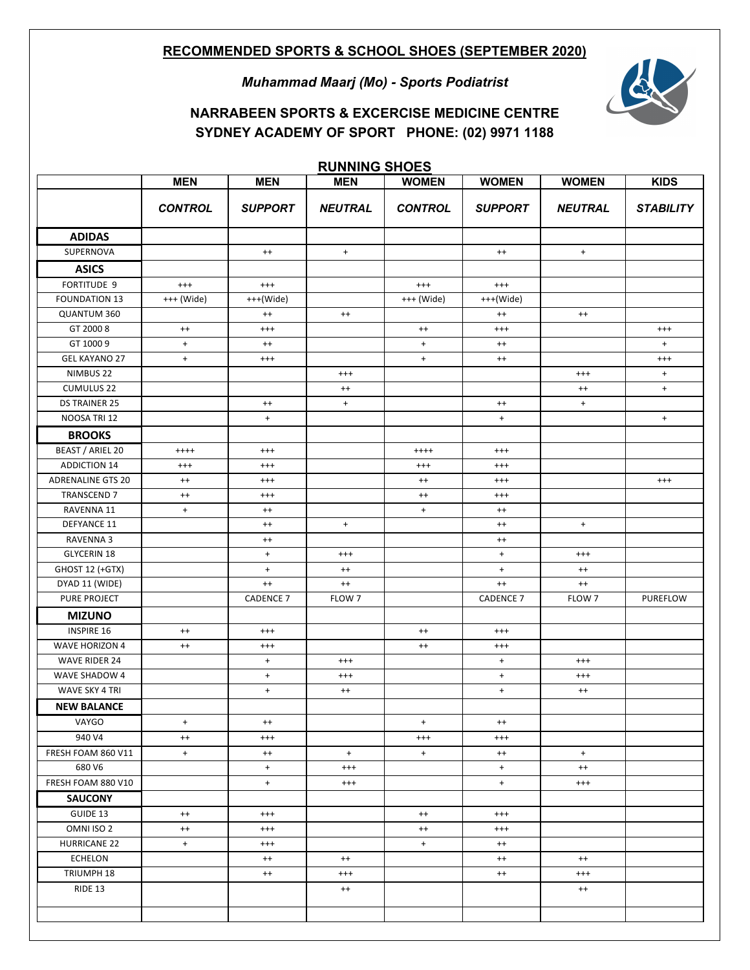### **RECOMMENDED SPORTS & SCHOOL SHOES (SEPTEMBER 2020)**

*Muhammad Maarj (Mo) - Sports Podiatrist*



# **NARRABEEN SPORTS & EXCERCISE MEDICINE CENTRE SYDNEY ACADEMY OF SPORT PHONE: (02) 9971 1188**

|                          |                |                  | טבעווט טוויוויט                  |                |                  |                |                                  |
|--------------------------|----------------|------------------|----------------------------------|----------------|------------------|----------------|----------------------------------|
|                          | <b>MEN</b>     | <b>MEN</b>       | <b>MEN</b>                       | <b>WOMEN</b>   | <b>WOMEN</b>     | <b>WOMEN</b>   | <b>KIDS</b>                      |
|                          | <b>CONTROL</b> | <b>SUPPORT</b>   | <b>NEUTRAL</b>                   | <b>CONTROL</b> | <b>SUPPORT</b>   | <b>NEUTRAL</b> | <b>STABILITY</b>                 |
| <b>ADIDAS</b>            |                |                  |                                  |                |                  |                |                                  |
| SUPERNOVA                |                | $^{++}$          | $\begin{array}{c} + \end{array}$ |                | $^{++}$          | $+$            |                                  |
| <b>ASICS</b>             |                |                  |                                  |                |                  |                |                                  |
| <b>FORTITUDE 9</b>       | $^{+++}$       | $^{+++}$         |                                  | $^{+++}$       | $^{+++}$         |                |                                  |
| <b>FOUNDATION 13</b>     | +++ (Wide)     | +++(Wide)        |                                  | +++ (Wide)     | +++(Wide)        |                |                                  |
| QUANTUM 360              |                | $^{++}$          | $^{++}$                          |                | $^{++}$          | $^{++}$        |                                  |
| GT 2000 8                | $^{++}$        | $^{+++}$         |                                  | $^{++}$        | $^{+++}$         |                | $^{+++}$                         |
| GT 1000 9                | $+$            | $^{++}$          |                                  | $+$            | $^{++}$          |                | $+$                              |
| <b>GEL KAYANO 27</b>     | $+$            | $^{+++}$         |                                  | $+$            | $^{++}$          |                | $^{+++}$                         |
| NIMBUS <sub>22</sub>     |                |                  | $^{+++}$                         |                |                  | $^{+++}$       | $+$                              |
| <b>CUMULUS 22</b>        |                |                  | $^{++}$                          |                |                  | $^{++}$        | $\begin{array}{c} + \end{array}$ |
| <b>DS TRAINER 25</b>     |                | $^{++}$          | $\ddot{}$                        |                | $^{++}$          | $+$            |                                  |
| NOOSA TRI 12             |                | $+$              |                                  |                | $+$              |                | $+$                              |
| <b>BROOKS</b>            |                |                  |                                  |                |                  |                |                                  |
| BEAST / ARIEL 20         | $+++++$        | $^{+++}$         |                                  | $+++++$        | $^{+++}$         |                |                                  |
| <b>ADDICTION 14</b>      | $^{+++}$       | $^{+++}$         |                                  | $^{+++}$       | $^{+++}$         |                |                                  |
| <b>ADRENALINE GTS 20</b> | $^{++}$        | $^{+++}$         |                                  | $^{++}$        | $^{+++}$         |                | $^{+++}$                         |
| <b>TRANSCEND 7</b>       | $^{++}$        | $^{+++}$         |                                  | $^{++}$        | $^{+++}$         |                |                                  |
| RAVENNA 11               | $+$            | $^{++}$          |                                  | $+$            | $^{++}$          |                |                                  |
| DEFYANCE 11              |                | $^{++}$          | $\begin{array}{c} + \end{array}$ |                | $^{++}$          | $+$            |                                  |
| RAVENNA 3                |                | $^{++}$          |                                  |                | $^{++}$          |                |                                  |
| <b>GLYCERIN 18</b>       |                | $\ddot{}$        | $^{+++}$                         |                | $+$              | $^{+++}$       |                                  |
| GHOST 12 (+GTX)          |                | $\ddot{}$        | $^{++}$                          |                | $\ddot{}$        | $^{++}$        |                                  |
| DYAD 11 (WIDE)           |                | $^{++}$          | $^{++}$                          |                | $^{++}$          | $+ +$          |                                  |
| PURE PROJECT             |                | <b>CADENCE 7</b> | FLOW 7                           |                | <b>CADENCE 7</b> | FLOW 7         | PUREFLOW                         |
| <b>MIZUNO</b>            |                |                  |                                  |                |                  |                |                                  |
| <b>INSPIRE 16</b>        | $^{++}$        | $^{+++}$         |                                  | $^{++}$        | $^{+++}$         |                |                                  |
| <b>WAVE HORIZON 4</b>    | $^{++}$        | $^{+++}$         |                                  | $^{++}$        | $^{+++}$         |                |                                  |
| <b>WAVE RIDER 24</b>     |                | $\ddot{}$        | $^{+++}$                         |                | $\ddot{}$        | $^{+++}$       |                                  |
| WAVE SHADOW 4            |                | $\ddot{}$        | $^{+++}$                         |                | $\ddot{}$        | $^{+++}$       |                                  |
| WAVE SKY 4 TRI           |                | $\ddot{}$        | $^{++}$                          |                | $\ddot{}$        | $^{++}$        |                                  |
| <b>NEW BALANCE</b>       |                |                  |                                  |                |                  |                |                                  |
| VAYGO                    | $^{+}$         | $^{++}$          |                                  | $\ddot{}$      | $^{++}$          |                |                                  |
| 940 V4                   | $^{++}$        | $^{+++}$         |                                  | $^{+++}$       | $^{+++}$         |                |                                  |
| FRESH FOAM 860 V11       | $+$            | $^{++}$          | $+$                              | $+$            | $^{++}$          | $+$            |                                  |
| 680 V6                   |                | $+$              | $^{+++}$                         |                | $+$              | $^{++}$        |                                  |
| FRESH FOAM 880 V10       |                | $+$              | $^{+++}$                         |                | $+$              | $^{+++}$       |                                  |
| <b>SAUCONY</b>           |                |                  |                                  |                |                  |                |                                  |
| GUIDE 13                 | $^{++}$        | $^{+++}$         |                                  | $^{++}$        | $^{+++}$         |                |                                  |
| OMNI ISO 2               | $^{++}$        | $^{+++}$         |                                  | $^{++}$        | $^{+++}$         |                |                                  |
| <b>HURRICANE 22</b>      | $+$            | $^{+++}$         |                                  | $+$            | $^{++}$          |                |                                  |
| <b>ECHELON</b>           |                | $^{++}$          | $^{++}$                          |                | $^{++}$          | $^{++}$        |                                  |
| TRIUMPH 18               |                | $^{++}$          | $^{+++}$                         |                | $^{++}$          | $^{+++}$       |                                  |
| <b>RIDE 13</b>           |                |                  | $^{++}$                          |                |                  | $^{++}$        |                                  |
|                          |                |                  |                                  |                |                  |                |                                  |
|                          |                |                  |                                  |                |                  |                |                                  |

**RUNNING SHOES**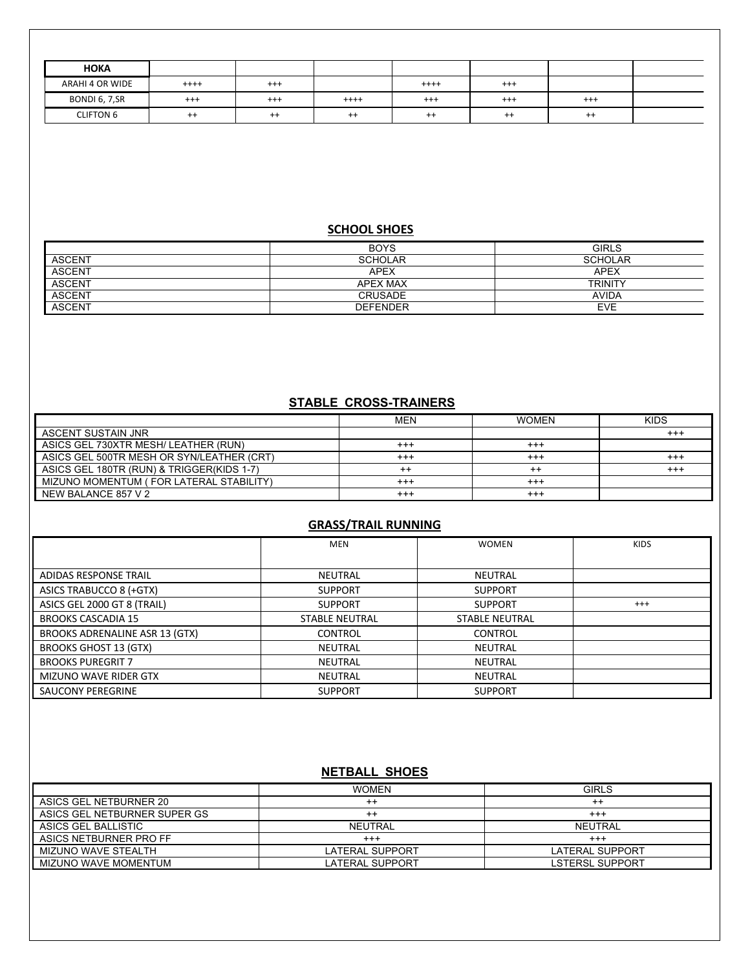| <b>HOKA</b>      |           |          |         |          |          |          |  |
|------------------|-----------|----------|---------|----------|----------|----------|--|
| ARAHI 4 OR WIDE  | $^{++++}$ | $^{+++}$ |         | $++++$   | $^{+++}$ |          |  |
| BONDI 6, 7,SR    | $^{+++}$  | $^{+++}$ | $++++$  | $^{+++}$ | $^{+++}$ | $^{+++}$ |  |
| <b>CLIFTON 6</b> | $^{++}$   | $^{++}$  | $^{++}$ | $^{++}$  | $^{++}$  | $^{++}$  |  |

#### **SCHOOL SHOES**

|               | <b>BOYS</b>     | <b>GIRLS</b>   |
|---------------|-----------------|----------------|
| <b>ASCENT</b> | <b>SCHOLAR</b>  | <b>SCHOLAR</b> |
| <b>ASCENT</b> | <b>APEX</b>     | <b>APEX</b>    |
| <b>ASCENT</b> | <b>APEX MAX</b> | <b>TRINITY</b> |
| <b>ASCENT</b> | <b>CRUSADE</b>  | <b>AVIDA</b>   |
| <b>ASCENT</b> | <b>DEFENDER</b> | <b>EVE</b>     |

#### **STABLE CROSS-TRAINERS**

|                                           | <b>MEN</b> | <b>WOMEN</b> | <b>KIDS</b> |
|-------------------------------------------|------------|--------------|-------------|
| ASCENT SUSTAIN JNR                        |            |              | $^{++}$     |
| ASICS GEL 730XTR MESH/ LEATHER (RUN)      | $^{+++}$   | $^{++}$      |             |
| ASICS GEL 500TR MESH OR SYN/LEATHER (CRT) | $^{++}$    | $^{++}$      | $^{++}$     |
| ASICS GEL 180TR (RUN) & TRIGGER(KIDS 1-7) | $^{++}$    |              | $^{++}$     |
| MIZUNO MOMENTUM (FOR LATERAL STABILITY)   | $^{++}$    | $^{++}$      |             |
| NEW BALANCE 857 V 2                       | $^{++}$    | $^{++}$      |             |

#### **GRASS/TRAIL RUNNING**

|                                | MEN                   | <b>WOMEN</b>          | <b>KIDS</b> |
|--------------------------------|-----------------------|-----------------------|-------------|
|                                |                       |                       |             |
| ADIDAS RESPONSE TRAIL          | NEUTRAL               | NEUTRAL               |             |
| ASICS TRABUCCO 8 (+GTX)        | <b>SUPPORT</b>        | <b>SUPPORT</b>        |             |
| ASICS GEL 2000 GT 8 (TRAIL)    | <b>SUPPORT</b>        | <b>SUPPORT</b>        | $^{+++}$    |
| <b>BROOKS CASCADIA 15</b>      | <b>STABLE NEUTRAL</b> | <b>STABLE NEUTRAL</b> |             |
| BROOKS ADRENALINE ASR 13 (GTX) | <b>CONTROL</b>        | <b>CONTROL</b>        |             |
| <b>BROOKS GHOST 13 (GTX)</b>   | NEUTRAL               | NEUTRAL               |             |
| <b>BROOKS PUREGRIT 7</b>       | NEUTRAL               | NEUTRAL               |             |
| <b>MIZUNO WAVE RIDER GTX</b>   | NEUTRAL               | NEUTRAL               |             |
| SAUCONY PEREGRINE              | <b>SUPPORT</b>        | <b>SUPPORT</b>        |             |

## **NETBALL SHOES**

|                              | <b>WOMEN</b>    | <b>GIRLS</b>    |
|------------------------------|-----------------|-----------------|
| ASICS GEL NETBURNER 20       | $^{++}$         | $^{++}$         |
| ASICS GEL NETBURNER SUPER GS | $^{\mathrm{+}}$ | $^{++}$         |
| ASICS GEL BALLISTIC          | NEUTRAL         | NEUTRAL         |
| ASICS NETBURNER PRO FF       | $^{++}$         | $^{++}$         |
| MIZUNO WAVE STEALTH          | LATERAL SUPPORT | LATERAL SUPPORT |
| MIZUNO WAVE MOMENTUM         | LATERAL SUPPORT | LSTERSL SUPPORT |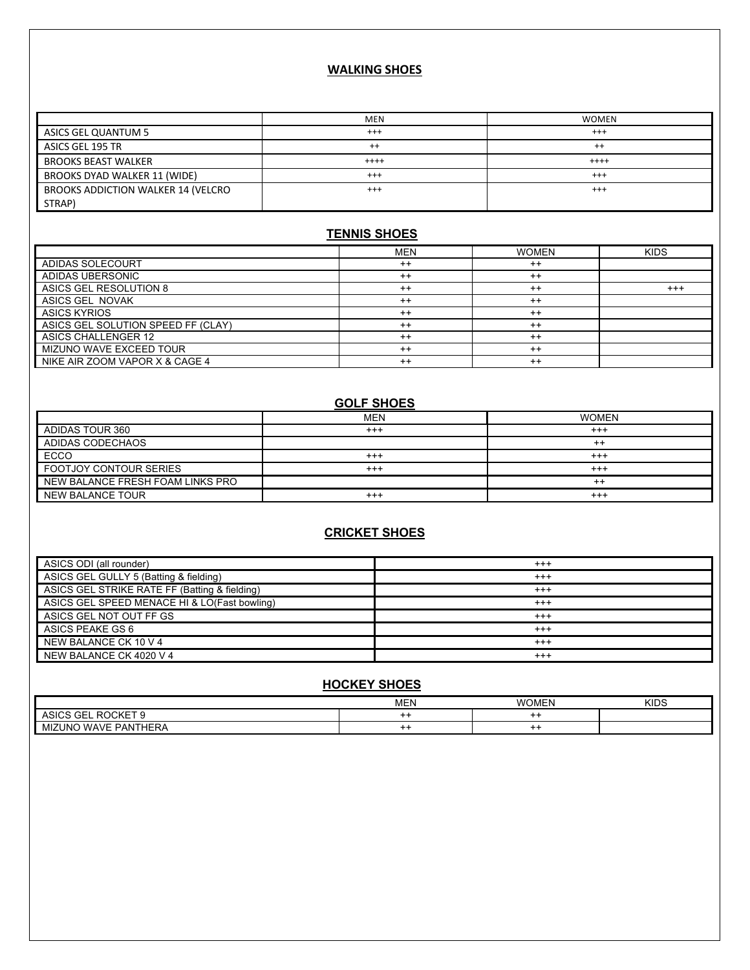#### **WALKING SHOES**

|                                    | <b>MEN</b> | <b>WOMEN</b> |
|------------------------------------|------------|--------------|
| ASICS GEL QUANTUM 5                | $^{++}$    | $^{+++}$     |
| ASICS GEL 195 TR                   | $^{++}$    | $^{++}$      |
| <b>BROOKS BEAST WALKER</b>         | $++++$     | $^{+++}$     |
| BROOKS DYAD WALKER 11 (WIDE)       | $^{++}$    | $^{+++}$     |
| BROOKS ADDICTION WALKER 14 (VELCRO | $^{+++}$   | $^{+++}$     |
| STRAP)                             |            |              |

### **TENNIS SHOES**

|                                    | <b>MEN</b> | <b>WOMEN</b> | <b>KIDS</b> |
|------------------------------------|------------|--------------|-------------|
| ADIDAS SOLECOURT                   | $^{++}$    | $^{++}$      |             |
| ADIDAS UBERSONIC                   | $^{++}$    | $++$         |             |
| ASICS GEL RESOLUTION 8             | $^{++}$    | $++$         | $^{+++}$    |
| ASICS GEL NOVAK                    | $^{++}$    | $++$         |             |
| <b>ASICS KYRIOS</b>                | $^{++}$    | $++$         |             |
| ASICS GEL SOLUTION SPEED FF (CLAY) | $^{++}$    | $++$         |             |
| <b>ASICS CHALLENGER 12</b>         | $^{++}$    | $++$         |             |
| MIZUNO WAVE EXCEED TOUR            | $++$       | $++$         |             |
| NIKE AIR ZOOM VAPOR X & CAGE 4     | $^{++}$    | $++$         |             |

# **GOLF SHOES**

|                                  | <b>MEN</b> | <b>WOMEN</b> |
|----------------------------------|------------|--------------|
| ADIDAS TOUR 360                  | $^{++}$    | $^{++}$      |
| ADIDAS CODECHAOS                 |            | $^{++}$      |
| <b>ECCO</b>                      | $^{++}$    | $^{+++}$     |
| <b>FOOTJOY CONTOUR SERIES</b>    | $^{++}$    | $^{+++}$     |
| NEW BALANCE FRESH FOAM LINKS PRO |            | $^{++}$      |
| NEW BALANCE TOUR                 | $^{++}$    | $^{+++}$     |

# **CRICKET SHOES**

| ASICS ODI (all rounder)                       | $^{+++}$ |
|-----------------------------------------------|----------|
| ASICS GEL GULLY 5 (Batting & fielding)        | $^{+++}$ |
| ASICS GEL STRIKE RATE FF (Batting & fielding) | $^{+++}$ |
| ASICS GEL SPEED MENACE HI & LO(Fast bowling)  | $^{+++}$ |
| ASICS GEL NOT OUT FF GS                       | $^{+++}$ |
| ASICS PEAKE GS 6                              | $^{+++}$ |
| NEW BALANCE CK 10 V 4                         | $^{+++}$ |
| NEW BALANCE CK 4020 V 4                       | $^{+++}$ |

### **HOCKEY SHOES**

|                                                                           | <b>MEN</b> | $\cdots$<br>ו∟שכ<br>w | <b>KIDS</b> |
|---------------------------------------------------------------------------|------------|-----------------------|-------------|
| <b>DOCKET</b><br>$\sim$<br>$\sim$ $\sim$<br>-<br>чF<br>$\sim$<br>∍ ت⊐∧اب. |            |                       |             |
| <b>WAVE</b><br><b>PANTHERA</b><br>UNO                                     |            |                       |             |